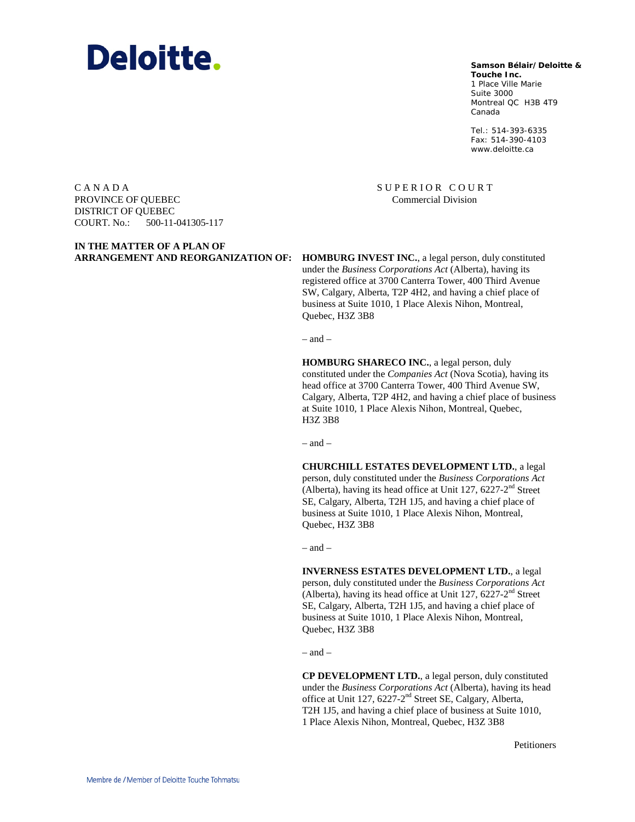# **Deloitte.**

**Samson Bélair/Deloitte &**

**Touche Inc.** 1 Place Ville Marie Suite 3000 Montreal QC H3B 4T9 Canada

Tel.: 514-393-6335 Fax: 514-390-4103 www.deloitte.ca

C A N A D A PROVINCE OF QUEBEC DISTRICT OF QUEBEC COURT. No.: 500-11-041305-117

**ARRANGEMENT AND REORGANIZATION OF: HOMBURG INVEST INC.**, a legal person, duly constituted under the *Business Corporations Act* (Alberta), having its registered office at 3700 Canterra Tower, 400 Third Avenue SW, Calgary, Alberta, T2P 4H2, and having a chief place of business at Suite 1010, 1 Place Alexis Nihon, Montreal, Quebec, H3Z 3B8

SUPERIOR COURT Commercial Division

 $-$  and  $-$ 

**HOMBURG SHARECO INC.**, a legal person, duly constituted under the *Companies Act* (Nova Scotia), having its head office at 3700 Canterra Tower, 400 Third Avenue SW, Calgary, Alberta, T2P 4H2, and having a chief place of business at Suite 1010, 1 Place Alexis Nihon, Montreal, Quebec, H3Z 3B8

– and –

**CHURCHILL ESTATES DEVELOPMENT LTD.**, a legal person, duly constituted under the *Business Corporations Act* (Alberta), having its head office at Unit 127,  $6227-2^{nd}$  Street SE, Calgary, Alberta, T2H 1J5, and having a chief place of business at Suite 1010, 1 Place Alexis Nihon, Montreal, Quebec, H3Z 3B8

– and –

**INVERNESS ESTATES DEVELOPMENT LTD.**, a legal person, duly constituted under the *Business Corporations Act* (Alberta), having its head office at Unit 127,  $6227-2<sup>nd</sup>$  Street SE, Calgary, Alberta, T2H 1J5, and having a chief place of business at Suite 1010, 1 Place Alexis Nihon, Montreal, Quebec, H3Z 3B8

– and –

**CP DEVELOPMENT LTD.**, a legal person, duly constituted under the *Business Corporations Act* (Alberta), having its head office at Unit 127, 6227-2<sup>nd</sup> Street SE, Calgary, Alberta, T2H 1J5, and having a chief place of business at Suite 1010, 1 Place Alexis Nihon, Montreal, Quebec, H3Z 3B8

Petitioners

**IN THE MATTER OF A PLAN OF**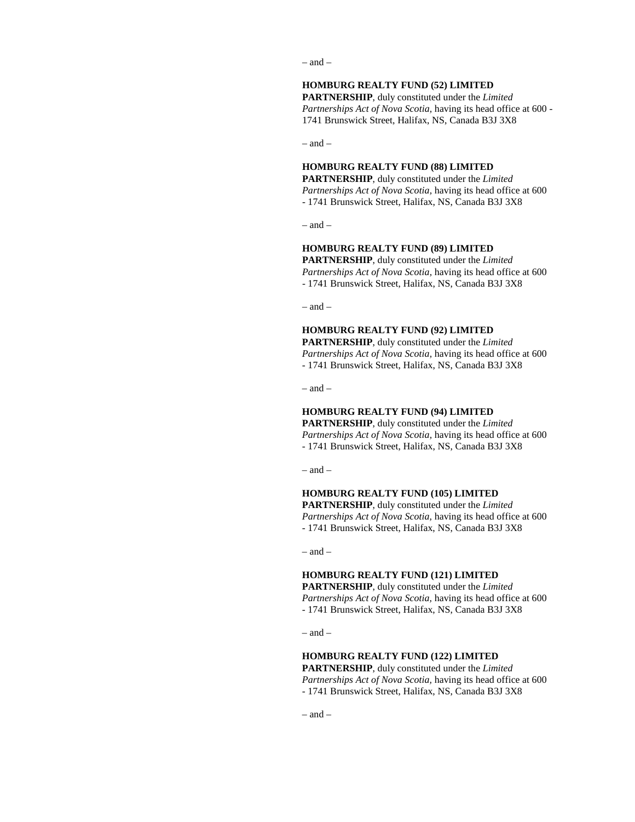– and –

# **HOMBURG REALTY FUND (52) LIMITED**

**PARTNERSHIP**, duly constituted under the *Limited Partnerships Act of Nova Scotia,* having its head office at 600 - 1741 Brunswick Street, Halifax, NS, Canada B3J 3X8

 $-$  and  $-$ 

#### **HOMBURG REALTY FUND (88) LIMITED**

**PARTNERSHIP**, duly constituted under the *Limited Partnerships Act of Nova Scotia,* having its head office at 600 - 1741 Brunswick Street, Halifax, NS, Canada B3J 3X8

– and –

### **HOMBURG REALTY FUND (89) LIMITED**

**PARTNERSHIP**, duly constituted under the *Limited Partnerships Act of Nova Scotia,* having its head office at 600 - 1741 Brunswick Street, Halifax, NS, Canada B3J 3X8

– and –

#### **HOMBURG REALTY FUND (92) LIMITED**

**PARTNERSHIP**, duly constituted under the *Limited Partnerships Act of Nova Scotia,* having its head office at 600 - 1741 Brunswick Street, Halifax, NS, Canada B3J 3X8

 $-$  and  $-$ 

# **HOMBURG REALTY FUND (94) LIMITED**

**PARTNERSHIP**, duly constituted under the *Limited Partnerships Act of Nova Scotia,* having its head office at 600 - 1741 Brunswick Street, Halifax, NS, Canada B3J 3X8

 $=$  and  $=$ 

# **HOMBURG REALTY FUND (105) LIMITED PARTNERSHIP**, duly constituted under the *Limited Partnerships Act of Nova Scotia,* having its head office at 600 - 1741 Brunswick Street, Halifax, NS, Canada B3J 3X8

 $=$  and  $=$ 

#### **HOMBURG REALTY FUND (121) LIMITED**

**PARTNERSHIP**, duly constituted under the *Limited Partnerships Act of Nova Scotia,* having its head office at 600 - 1741 Brunswick Street, Halifax, NS, Canada B3J 3X8

– and –

# **HOMBURG REALTY FUND (122) LIMITED**

**PARTNERSHIP**, duly constituted under the *Limited Partnerships Act of Nova Scotia,* having its head office at 600 - 1741 Brunswick Street, Halifax, NS, Canada B3J 3X8